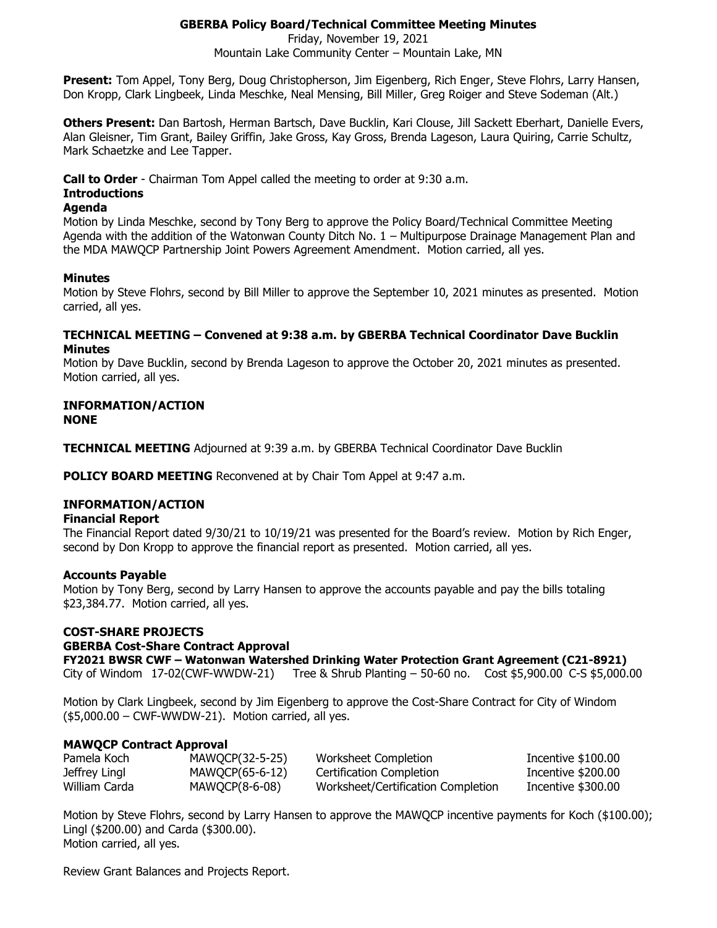# **GBERBA Policy Board/Technical Committee Meeting Minutes**

Friday, November 19, 2021

Mountain Lake Community Center – Mountain Lake, MN

**Present:** Tom Appel, Tony Berg, Doug Christopherson, Jim Eigenberg, Rich Enger, Steve Flohrs, Larry Hansen, Don Kropp, Clark Lingbeek, Linda Meschke, Neal Mensing, Bill Miller, Greg Roiger and Steve Sodeman (Alt.)

**Others Present:** Dan Bartosh, Herman Bartsch, Dave Bucklin, Kari Clouse, Jill Sackett Eberhart, Danielle Evers, Alan Gleisner, Tim Grant, Bailey Griffin, Jake Gross, Kay Gross, Brenda Lageson, Laura Quiring, Carrie Schultz, Mark Schaetzke and Lee Tapper.

**Call to Order** - Chairman Tom Appel called the meeting to order at 9:30 a.m.

## **Introductions**

### **Agenda**

Motion by Linda Meschke, second by Tony Berg to approve the Policy Board/Technical Committee Meeting Agenda with the addition of the Watonwan County Ditch No. 1 – Multipurpose Drainage Management Plan and the MDA MAWQCP Partnership Joint Powers Agreement Amendment. Motion carried, all yes.

## **Minutes**

Motion by Steve Flohrs, second by Bill Miller to approve the September 10, 2021 minutes as presented. Motion carried, all yes.

### **TECHNICAL MEETING – Convened at 9:38 a.m. by GBERBA Technical Coordinator Dave Bucklin Minutes**

Motion by Dave Bucklin, second by Brenda Lageson to approve the October 20, 2021 minutes as presented. Motion carried, all yes.

### **INFORMATION/ACTION NONE**

**TECHNICAL MEETING** Adjourned at 9:39 a.m. by GBERBA Technical Coordinator Dave Bucklin

**POLICY BOARD MEETING** Reconvened at by Chair Tom Appel at 9:47 a.m.

## **INFORMATION/ACTION**

#### **Financial Report**

The Financial Report dated 9/30/21 to 10/19/21 was presented for the Board's review. Motion by Rich Enger, second by Don Kropp to approve the financial report as presented. Motion carried, all yes.

#### **Accounts Payable**

Motion by Tony Berg, second by Larry Hansen to approve the accounts payable and pay the bills totaling \$23,384.77. Motion carried, all yes.

## **COST-SHARE PROJECTS**

#### **GBERBA Cost-Share Contract Approval**

**FY2021 BWSR CWF – Watonwan Watershed Drinking Water Protection Grant Agreement (C21-8921)** City of Windom 17-02(CWF-WWDW-21) Tree & Shrub Planting – 50-60 no. Cost \$5,900.00 C-S \$5,000.00

Motion by Clark Lingbeek, second by Jim Eigenberg to approve the Cost-Share Contract for City of Windom  $($5,000.00 - CWF-WWDW-21)$ . Motion carried, all yes.

## **MAWQCP Contract Approval**

| Pamela Koch   | MAWOCP(32-5-25) | Worksheet Completion               | Incentive \$100.00 |
|---------------|-----------------|------------------------------------|--------------------|
| Jeffrey Lingl | MAWQCP(65-6-12) | Certification Completion           | Incentive \$200.00 |
| William Carda | MAWQCP(8-6-08)  | Worksheet/Certification Completion | Incentive \$300.00 |

Motion by Steve Flohrs, second by Larry Hansen to approve the MAWQCP incentive payments for Koch (\$100.00); Lingl (\$200.00) and Carda (\$300.00). Motion carried, all yes.

Review Grant Balances and Projects Report.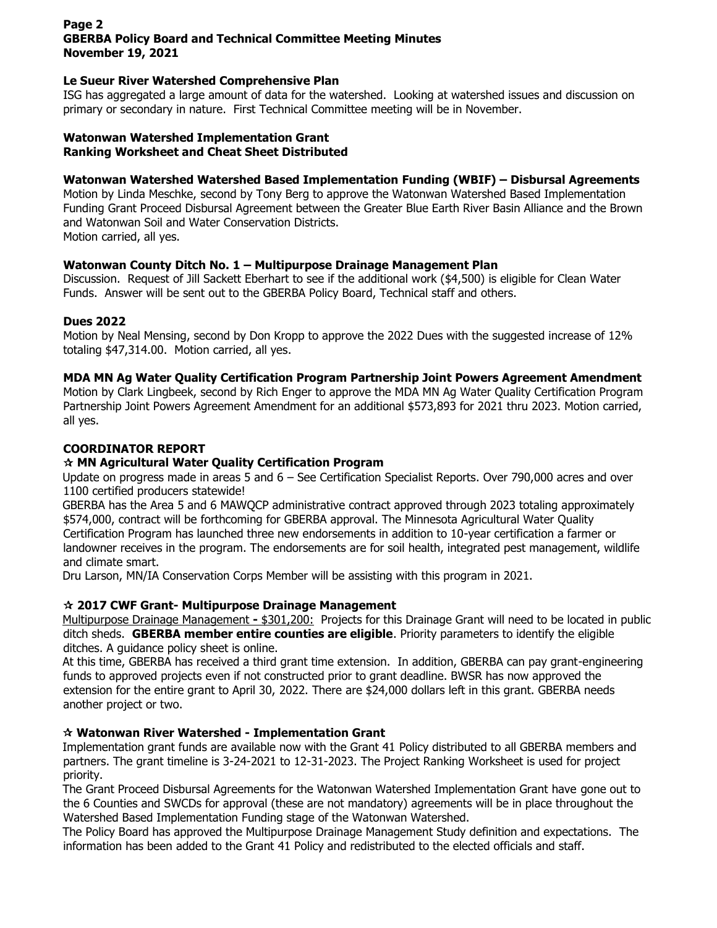## **Page 2 GBERBA Policy Board and Technical Committee Meeting Minutes November 19, 2021**

### **Le Sueur River Watershed Comprehensive Plan**

ISG has aggregated a large amount of data for the watershed. Looking at watershed issues and discussion on primary or secondary in nature. First Technical Committee meeting will be in November.

#### **Watonwan Watershed Implementation Grant Ranking Worksheet and Cheat Sheet Distributed**

### **Watonwan Watershed Watershed Based Implementation Funding (WBIF) – Disbursal Agreements**

Motion by Linda Meschke, second by Tony Berg to approve the Watonwan Watershed Based Implementation Funding Grant Proceed Disbursal Agreement between the Greater Blue Earth River Basin Alliance and the Brown and Watonwan Soil and Water Conservation Districts.

Motion carried, all yes.

### **Watonwan County Ditch No. 1 – Multipurpose Drainage Management Plan**

Discussion. Request of Jill Sackett Eberhart to see if the additional work (\$4,500) is eligible for Clean Water Funds. Answer will be sent out to the GBERBA Policy Board, Technical staff and others.

### **Dues 2022**

Motion by Neal Mensing, second by Don Kropp to approve the 2022 Dues with the suggested increase of 12% totaling \$47,314.00. Motion carried, all yes.

### **MDA MN Ag Water Quality Certification Program Partnership Joint Powers Agreement Amendment**

Motion by Clark Lingbeek, second by Rich Enger to approve the MDA MN Ag Water Quality Certification Program Partnership Joint Powers Agreement Amendment for an additional \$573,893 for 2021 thru 2023. Motion carried, all yes.

## **COORDINATOR REPORT**

### **MN Agricultural Water Quality Certification Program**

Update on progress made in areas 5 and 6 – See Certification Specialist Reports. Over 790,000 acres and over 1100 certified producers statewide!

GBERBA has the Area 5 and 6 MAWQCP administrative contract approved through 2023 totaling approximately \$574,000, contract will be forthcoming for GBERBA approval. The Minnesota Agricultural Water Quality Certification Program has launched three new endorsements in addition to 10-year certification a farmer or landowner receives in the program. The endorsements are for soil health, integrated pest management, wildlife and climate smart.

Dru Larson, MN/IA Conservation Corps Member will be assisting with this program in 2021.

## **2017 CWF Grant- Multipurpose Drainage Management**

Multipurpose Drainage Management **-** \$301,200: Projects for this Drainage Grant will need to be located in public ditch sheds. **GBERBA member entire counties are eligible**. Priority parameters to identify the eligible ditches. A guidance policy sheet is online.

At this time, GBERBA has received a third grant time extension. In addition, GBERBA can pay grant-engineering funds to approved projects even if not constructed prior to grant deadline. BWSR has now approved the extension for the entire grant to April 30, 2022. There are \$24,000 dollars left in this grant. GBERBA needs another project or two.

#### **Watonwan River Watershed - Implementation Grant**

Implementation grant funds are available now with the Grant 41 Policy distributed to all GBERBA members and partners. The grant timeline is 3-24-2021 to 12-31-2023. The Project Ranking Worksheet is used for project priority.

The Grant Proceed Disbursal Agreements for the Watonwan Watershed Implementation Grant have gone out to the 6 Counties and SWCDs for approval (these are not mandatory) agreements will be in place throughout the Watershed Based Implementation Funding stage of the Watonwan Watershed.

The Policy Board has approved the Multipurpose Drainage Management Study definition and expectations. The information has been added to the Grant 41 Policy and redistributed to the elected officials and staff.